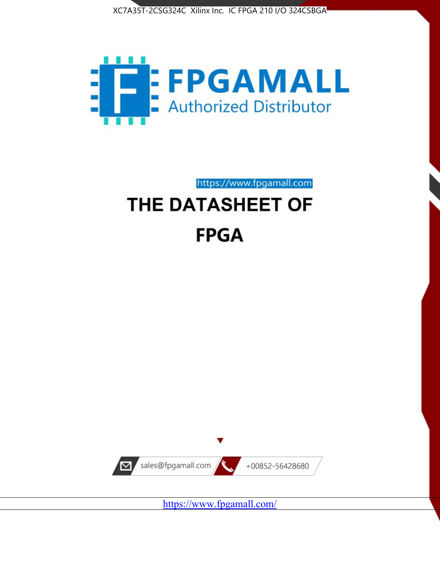



https://www.fpgamall.com THE DATASHEET OF

# **FPGA**



<https://www.fpgamall.com/>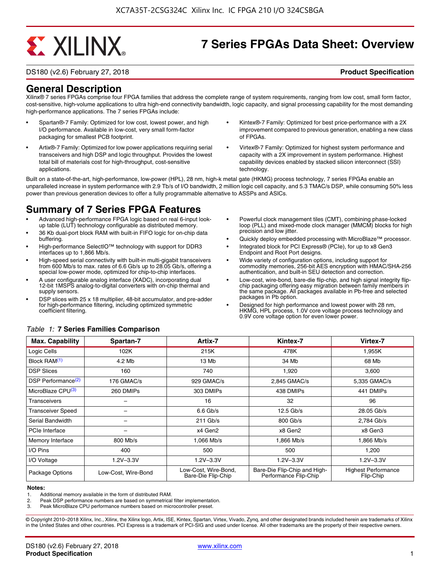# **EXALINX**

# **7 Series FPGAs Data Sheet: Overview**

DS180 (v2.6) February 27, 2018 **Product Specification**

### **General Description**

Xilinx® 7 series FPGAs comprise four FPGA families that address the complete range of system requirements, ranging from low cost, small form factor, cost-sensitive, high-volume applications to ultra high-end connectivity bandwidth, logic capacity, and signal processing capability for the most demanding high-performance applications. The 7 series FPGAs include:

- Spartan®-7 Family: Optimized for low cost, lowest power, and high I/O performance. Available in low-cost, very small form-factor packaging for smallest PCB footprint.
- Artix®-7 Family: Optimized for low power applications requiring serial transceivers and high DSP and logic throughput. Provides the lowest total bill of materials cost for high-throughput, cost-sensitive applications.
- Kintex®-7 Family: Optimized for best price-performance with a 2X improvement compared to previous generation, enabling a new class of FPGAs.
- Virtex®-7 Family: Optimized for highest system performance and capacity with a 2X improvement in system performance. Highest capability devices enabled by stacked silicon interconnect (SSI) technology

Built on a state-of-the-art, high-performance, low-power (HPL), 28 nm, high-k metal gate (HKMG) process technology, 7 series FPGAs enable an unparalleled increase in system performance with 2.9 Tb/s of I/O bandwidth, 2 million logic cell capacity, and 5.3 TMAC/s DSP, while consuming 50% less power than previous generation devices to offer a fully programmable alternative to ASSPs and ASICs.

### **Summary of 7 Series FPGA Features**

- Advanced high-performance FPGA logic based on real 6-input lookup table (LUT) technology configurable as distributed memory.
- 36 Kb dual-port block RAM with built-in FIFO logic for on-chip data buffering.
- High-performance SelectIO™ technology with support for DDR3 interfaces up to 1,866 Mb/s.
- High-speed serial connectivity with built-in multi-gigabit transceivers from 600 Mb/s to max. rates of 6.6 Gb/s up to 28.05 Gb/s, offering a special low-power mode, optimized for chip-to-chip interfaces.
- A user configurable analog interface (XADC), incorporating dual 12-bit 1MSPS analog-to-digital converters with on-chip thermal and supply sensors.
- DSP slices with 25 x 18 multiplier, 48-bit accumulator, and pre-adder for high-performance filtering, including optimized symmetric coefficient filtering.
- Powerful clock management tiles (CMT), combining phase-locked loop (PLL) and mixed-mode clock manager (MMCM) blocks for high precision and low jitter.
- Quickly deploy embedded processing with MicroBlaze™ processor.
- Integrated block for PCI Express® (PCIe), for up to x8 Gen3 Endpoint and Root Port designs.
- Wide variety of configuration options, including support for commodity memories, 256-bit AES encryption with HMAC/SHA-256 authentication, and built-in SEU detection and correction.
- Low-cost, wire-bond, bare-die flip-chip, and high signal integrity flipchip packaging offering easy migration between family members in the same package. All packages available in Pb-free and selected packages in Pb option.
- Designed for high performance and lowest power with 28 nm, HKMG, HPL process, 1.0V core voltage process technology and 0.9V core voltage option for even lower power.

| <b>Max. Capability</b>         | Spartan-7           | Artix-7                                    | Kintex-7                                              | Virtex-7                                |
|--------------------------------|---------------------|--------------------------------------------|-------------------------------------------------------|-----------------------------------------|
| Logic Cells                    | 102K                | 215K                                       | 478K                                                  | 1,955K                                  |
| Block RAM <sup>(1)</sup>       | 4.2 Mb              | 13 Mb                                      | 34 Mb                                                 | 68 Mb                                   |
| <b>DSP Slices</b>              | 160                 | 740                                        | 1,920                                                 | 3,600                                   |
| DSP Performance <sup>(2)</sup> | 176 GMAC/s          | 929 GMAC/s                                 | 2,845 GMAC/s                                          | 5,335 GMAC/s                            |
| MicroBlaze CPU <sup>(3)</sup>  | 260 DMIPs           | 303 DMIPs                                  | 438 DMIPs                                             | 441 DMIPs                               |
| Transceivers                   |                     | 16                                         | 32                                                    | 96                                      |
| <b>Transceiver Speed</b>       |                     | $6.6$ Gb/s                                 | $12.5$ Gb/s                                           | 28.05 Gb/s                              |
| Serial Bandwidth               |                     | $211$ Gb/s                                 | 800 Gb/s                                              | 2,784 Gb/s                              |
| PCIe Interface                 | -                   | x4 Gen2                                    | x8 Gen2                                               | x8 Gen3                                 |
| Memory Interface               | $800$ Mb/s          | 1.066 Mb/s                                 | 1.866 Mb/s                                            | 1.866 Mb/s                              |
| I/O Pins                       | 400                 | 500                                        | 500                                                   | 1,200                                   |
| I/O Voltage                    | $1.2V - 3.3V$       | $1.2V - 3.3V$                              | $1.2V - 3.3V$                                         | $1.2V - 3.3V$                           |
| Package Options                | Low-Cost, Wire-Bond | Low-Cost, Wire-Bond,<br>Bare-Die Flip-Chip | Bare-Die Flip-Chip and High-<br>Performance Flip-Chip | <b>Highest Performance</b><br>Flip-Chip |

#### *Table 1:* **7 Series Families Comparison**

#### **Notes:**

1. Additional memory available in the form of distributed RAM.

2. Peak DSP performance numbers are based on symmetrical filter implementation.<br>3. Peak MicroBlaze CPU performance numbers based on microcontroller preset.

Peak MicroBlaze CPU performance numbers based on microcontroller preset.

© Copyright 2010–2018 Xilinx, Inc., Xilinx, the Xilinx logo, Artix, ISE, Kintex, Spartan, Virtex, Vivado, Zynq, and other designated brands included herein are trademarks of Xilinx in the United States and other countries. PCI Express is a trademark of PCI-SIG and used under license. All other trademarks are the property of their respective owners.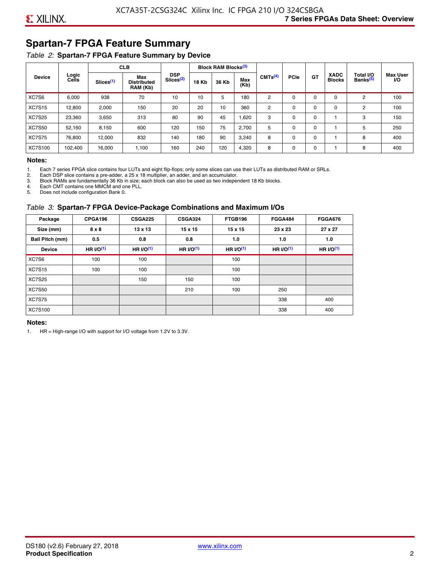# **Spartan-7 FPGA Feature Summary**

#### *Table 2:* **Spartan-7 FPGA Feature Summary by Device**

|               |                |                       | <b>CLB</b>                            |                                     |              | <b>Block RAM Blocks</b> <sup>(3)</sup> |             |                     |             |             |                              |                                   |                              |
|---------------|----------------|-----------------------|---------------------------------------|-------------------------------------|--------------|----------------------------------------|-------------|---------------------|-------------|-------------|------------------------------|-----------------------------------|------------------------------|
| <b>Device</b> | Logic<br>Cells | Slices <sup>(1)</sup> | Max<br><b>Distributed</b><br>RAM (Kb) | <b>DSP</b><br>Slices <sup>(2)</sup> | <b>18 Kb</b> | 36 Kb                                  | Max<br>(Kb) | CMTS <sup>(4)</sup> | <b>PCle</b> | <b>GT</b>   | <b>XADC</b><br><b>Blocks</b> | Total I/O<br>Banks <sup>(5)</sup> | <b>Max User</b><br><b>VO</b> |
| XC7S6         | 6,000          | 938                   | 70                                    | 10                                  | 10           | 5                                      | 180         | 2                   | $\Omega$    | 0           | 0                            | 2                                 | 100                          |
| <b>XC7S15</b> | 12,800         | 2,000                 | 150                                   | 20                                  | 20           | 10                                     | 360         | 2                   | $\Omega$    | $\mathbf 0$ | 0                            | 2                                 | 100                          |
| <b>XC7S25</b> | 23,360         | 3,650                 | 313                                   | 80                                  | 90           | 45                                     | 1,620       | 3                   | 0           | 0           |                              | 3                                 | 150                          |
| <b>XC7S50</b> | 52,160         | 8,150                 | 600                                   | 120                                 | 150          | 75                                     | 2,700       | 5                   | $\Omega$    | 0           |                              | 5                                 | 250                          |
| <b>XC7S75</b> | 76,800         | 12,000                | 832                                   | 140                                 | 180          | 90                                     | 3,240       | 8                   | 0           | 0           |                              | 8                                 | 400                          |
| XC7S100       | 102,400        | 16.000                | 1,100                                 | 160                                 | 240          | 120                                    | 4,320       | 8                   | 0           | 0           |                              | 8                                 | 400                          |

#### **Notes:**

1. Each 7 series FPGA slice contains four LUTs and eight flip-flops; only some slices can use their LUTs as distributed RAM or SRLs.<br>2. Each DSP slice contains a pre-adder. a 25 x 18 multiplier. an adder. and an accumulato

2. Each DSP slice contains a pre-adder, a 25 x 18 multiplier, an adder, and an accumulator. 3. Block RAMs are fundamentally 36 Kb in size; each block can also be used as two independent 18 Kb blocks.

4. Each CMT contains one MMCM and one PLL.

5. Does not include configuration Bank 0.

#### *Table 3:* **Spartan-7 FPGA Device-Package Combinations and Maximum I/Os**

| Package         | CPGA196      | <b>CSGA225</b> | <b>CSGA324</b> | FTGB196    | <b>FGGA484</b> | <b>FGGA676</b> |
|-----------------|--------------|----------------|----------------|------------|----------------|----------------|
| Size (mm)       | $8 \times 8$ | $13 \times 13$ | $15 \times 15$ | 15 x 15    | 23 x 23        | 27 x 27        |
| Ball Pitch (mm) | 0.5          | 0.8            | 0.8            | 1.0        | 1.0            | 1.0            |
| <b>Device</b>   | HR $l$ (1)   | HR $UO(1)$     | HR $UO(1)$     | HR $UO(1)$ | HR $UO(1)$     | HR $UO(1)$     |
| XC7S6           | 100          | 100            |                | 100        |                |                |
| <b>XC7S15</b>   | 100          | 100            |                | 100        |                |                |
| <b>XC7S25</b>   |              | 150            | 150            | 100        |                |                |
| <b>XC7S50</b>   |              |                | 210            | 100        | 250            |                |
| <b>XC7S75</b>   |              |                |                |            | 338            | 400            |
| <b>XC7S100</b>  |              |                |                |            | 338            | 400            |

#### **Notes:**

1. HR = High-range I/O with support for I/O voltage from 1.2V to 3.3V.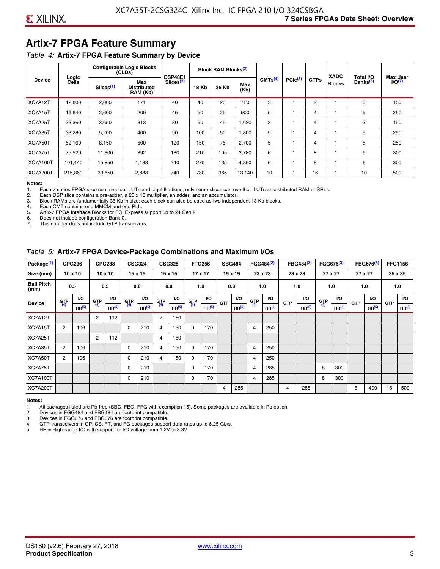# **Artix-7 FPGA Feature Summary**

#### *Table 4:* **Artix-7 FPGA Feature Summary by Device**

|                 |                |                       | <b>Configurable Logic Blocks</b><br>(CLBs) | <b>DSP48E1</b>        |              | Block RAM Blocks <sup>(3)</sup> |             |                     |                     |             | <b>XADC</b>   | Total I/O            | <b>Max User</b>    |
|-----------------|----------------|-----------------------|--------------------------------------------|-----------------------|--------------|---------------------------------|-------------|---------------------|---------------------|-------------|---------------|----------------------|--------------------|
| <b>Device</b>   | Logic<br>Cells | Slices <sup>(1)</sup> | Max<br><b>Distributed</b><br>RAM (Kb)      | Slices <sup>(2)</sup> | <b>18 Kb</b> | 36 Kb                           | Max<br>(Kb) | CMTS <sup>(4)</sup> | PCle <sup>(5)</sup> | <b>GTPs</b> | <b>Blocks</b> | Banks <sup>(6)</sup> | I/O <sub>(7)</sub> |
| XC7A12T         | 12,800         | 2,000                 | 171                                        | 40                    | 40           | 20                              | 720         | 3                   |                     | 2           |               | 3                    | 150                |
| XC7A15T         | 16,640         | 2,600                 | 200                                        | 45                    | 50           | 25                              | 900         | 5                   |                     | 4           |               | 5                    | 250                |
| XC7A25T         | 23,360         | 3,650                 | 313                                        | 80                    | 90           | 45                              | 1,620       | 3                   |                     | 4           |               | 3                    | 150                |
| XC7A35T         | 33,280         | 5,200                 | 400                                        | 90                    | 100          | 50                              | 1,800       | 5                   |                     | 4           |               | 5                    | 250                |
| XC7A50T         | 52,160         | 8,150                 | 600                                        | 120                   | 150          | 75                              | 2.700       | 5                   |                     | 4           |               | 5                    | 250                |
| XC7A75T         | 75,520         | 11,800                | 892                                        | 180                   | 210          | 105                             | 3,780       | 6                   |                     | 8           |               | 6                    | 300                |
| <b>XC7A100T</b> | 101.440        | 15,850                | 1.188                                      | 240                   | 270          | 135                             | 4,860       | 6                   |                     | 8           |               | 6                    | 300                |
| <b>XC7A200T</b> | 215,360        | 33,650                | 2,888                                      | 740                   | 730          | 365                             | 13,140      | 10                  |                     | 16          |               | 10                   | 500                |

**Notes:**  Each 7 series FPGA slice contains four LUTs and eight flip-flops; only some slices can use their LUTs as distributed RAM or SRLs.

2. Each DSP slice contains a pre-adder, a 25 x 18 multiplier, an adder, and an accumulator.

3. Block RAMs are fundamentally 36 Kb in size; each block can also be used as two independent 18 Kb blocks.

4. Each CMT contains one MMCM and one PLL.<br>5. Artix-7 FPGA Interface Blocks for PCI Express

5. Artix-7 FPGA Interface Blocks for PCI Express support up to x4 Gen 2.<br>6. Does not include configuration Bank 0.

6. Does not include configuration Bank 0.

This number does not include GTP transceivers.

#### *Table 5:* **Artix-7 FPGA Device-Package Combinations and Maximum I/Os**

| Package <sup>(1)</sup>    |            | <b>CPG236</b>     |                | <b>CPG238</b>  |            | <b>CSG324</b> |                | <b>CSG325</b>     |       | <b>FTG256</b>     |            | <b>SBG484</b>     |                | FGG484 <sup>(2)</sup> |                | FBG484 <sup>(2)</sup> |       | FGG676 <sup>(3)</sup> |            | FBG676 <sup>(3)</sup> |            | <b>FFG1156</b> |
|---------------------------|------------|-------------------|----------------|----------------|------------|---------------|----------------|-------------------|-------|-------------------|------------|-------------------|----------------|-----------------------|----------------|-----------------------|-------|-----------------------|------------|-----------------------|------------|----------------|
| Size (mm)                 |            | $10 \times 10$    |                | $10 \times 10$ |            | 15 x 15       |                | 15 x 15           |       | $17 \times 17$    |            | $19 \times 19$    |                | 23 x 23               |                | 23 x 23               |       | 27 x 27               |            | 27 x 27               |            | 35 x 35        |
| <b>Ball Pitch</b><br>(mm) |            | 0.5               |                | 0.5            |            | 0.8           | 0.8            |                   |       | 1.0               |            | 0.8               |                | 1.0                   |                | 1.0                   |       | 1.0                   |            | 1.0                   |            | 1.0            |
| <b>Device</b>             | <b>GTP</b> | <b>VO</b>         | <b>GTP</b>     | <b>VO</b>      | <b>GTP</b> | <b>VO</b>     | <b>GTP</b>     | <b>VO</b>         | G(TP) | VO.               | <b>GTP</b> | VO.               | G(TP)          | <b>VO</b>             | <b>GTP</b>     | <b>VO</b>             | G(TP) | <b>VO</b>             | <b>GTP</b> | <b>VO</b>             | <b>GTP</b> | <b>VO</b>      |
|                           | (4)        | HR <sup>(5)</sup> | (4)            | HR(5)          | (4)        | HP(5)         | (4)            | HR <sup>(5)</sup> |       | HR <sup>(5)</sup> |            | HR <sup>(5)</sup> |                | HR <sup>(5)</sup>     |                | HR <sup>(5)</sup>     |       | HR <sup>(5)</sup>     |            | HR <sup>(5)</sup>     |            | HR(5)          |
| XC7A12T                   |            |                   | $\overline{2}$ | 112            |            |               | $\overline{2}$ | 150               |       |                   |            |                   |                |                       |                |                       |       |                       |            |                       |            |                |
| XC7A15T                   | 2          | 106               |                |                | 0          | 210           | 4              | 150               | 0     | 170               |            |                   | $\overline{4}$ | 250                   |                |                       |       |                       |            |                       |            |                |
| XC7A25T                   |            |                   | 2              | 112            |            |               | 4              | 150               |       |                   |            |                   |                |                       |                |                       |       |                       |            |                       |            |                |
| XC7A35T                   | 2          | 106               |                |                | 0          | 210           | 4              | 150               | 0     | 170               |            |                   | 4              | 250                   |                |                       |       |                       |            |                       |            |                |
| XC7A50T                   | 2          | 106               |                |                | 0          | 210           | 4              | 150               | 0     | 170               |            |                   | 4              | 250                   |                |                       |       |                       |            |                       |            |                |
| XC7A75T                   |            |                   |                |                | 0          | 210           |                |                   | 0     | 170               |            |                   | 4              | 285                   |                |                       | 8     | 300                   |            |                       |            |                |
| <b>XC7A100T</b>           |            |                   |                |                | 0          | 210           |                |                   | 0     | 170               |            |                   | $\overline{4}$ | 285                   |                |                       | 8     | 300                   |            |                       |            |                |
| <b>XC7A200T</b>           |            |                   |                |                |            |               |                |                   |       |                   | 4          | 285               |                |                       | $\overline{4}$ | 285                   |       |                       | 8          | 400                   | 16         | 500            |

#### **Notes:**

1. All packages listed are Pb-free (SBG, FBG, FFG with exemption 15). Some packages are available in Pb option.

2. Devices in FGG484 and FBG484 are footprint compatible.

3. Devices in FGG676 and FBG676 are footprint compatible.

4. GTP transceivers in CP, CS, FT, and FG packages support data rates up to 6.25 Gb/s.<br>5. HR = High-range I/O with support for I/O voltage from 1.2V to 3.3V.

HR = High-range I/O with support for I/O voltage from 1.2V to 3.3V.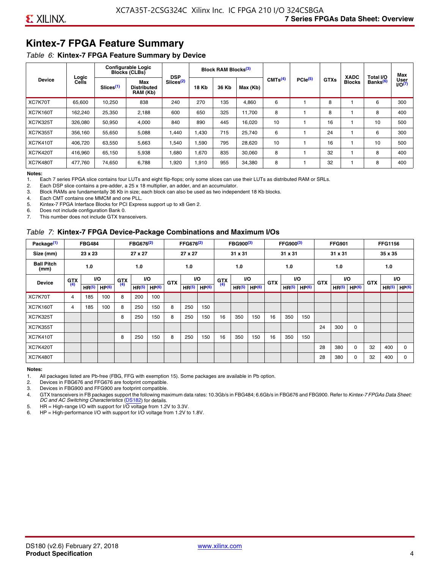# **Kintex-7 FPGA Feature Summary**

#### *Table 6:* **Kintex-7 FPGA Feature Summary by Device**

|                 |                |                       | <b>Configurable Logic</b><br><b>Blocks (CLBs)</b> | <b>DSP</b>            |              | <b>Block RAM Blocks</b> <sup>(3)</sup> |          |                     |              |             | <b>XADC</b>   | Total I/O            | Max                 |
|-----------------|----------------|-----------------------|---------------------------------------------------|-----------------------|--------------|----------------------------------------|----------|---------------------|--------------|-------------|---------------|----------------------|---------------------|
| <b>Device</b>   | Logic<br>Cells | Slices <sup>(1)</sup> | Max<br><b>Distributed</b><br>RAM (Kb)             | Slices <sup>(2)</sup> | <b>18 Kb</b> | 36 Kb                                  | Max (Kb) | CMTS <sup>(4)</sup> | $PCle^{(5)}$ | <b>GTXs</b> | <b>Blocks</b> | Banks <sup>(6)</sup> | User<br>$U$ O $(7)$ |
| XC7K70T         | 65,600         | 10,250                | 838                                               | 240                   | 270          | 135                                    | 4,860    | 6                   |              | 8           |               | 6                    | 300                 |
| <b>XC7K160T</b> | 162,240        | 25,350                | 2,188                                             | 600                   | 650          | 325                                    | 11,700   | 8                   |              | 8           |               | 8                    | 400                 |
| <b>XC7K325T</b> | 326.080        | 50.950                | 4,000                                             | 840                   | 890          | 445                                    | 16,020   | 10                  |              | 16          |               | 10                   | 500                 |
| <b>XC7K355T</b> | 356.160        | 55,650                | 5,088                                             | 1,440                 | 1.430        | 715                                    | 25,740   | 6                   |              | 24          |               | 6                    | 300                 |
| <b>XC7K410T</b> | 406,720        | 63,550                | 5,663                                             | 1,540                 | 1,590        | 795                                    | 28,620   | 10                  |              | 16          |               | 10                   | 500                 |
| <b>XC7K420T</b> | 416,960        | 65,150                | 5,938                                             | 1,680                 | 1,670        | 835                                    | 30,060   | 8                   |              | 32          |               | 8                    | 400                 |
| <b>XC7K480T</b> | 477.760        | 74,650                | 6,788                                             | 1,920                 | 1,910        | 955                                    | 34,380   | 8                   |              | 32          |               | 8                    | 400                 |

#### **Notes:**

1. Each 7 series FPGA slice contains four LUTs and eight flip-flops; only some slices can use their LUTs as distributed RAM or SRLs.<br>2. Each DSP slice contains a pre-adder, a 25 x 18 multiplier, an adder, and an accumulato

Each DSP slice contains a pre-adder, a 25 x 18 multiplier, an adder, and an accumulator.

3. Block RAMs are fundamentally 36 Kb in size; each block can also be used as two independent 18 Kb blocks.

4. Each CMT contains one MMCM and one PLL.

5. Kintex-7 FPGA Interface Blocks for PCI Express support up to x8 Gen 2.

6. Does not include configuration Bank 0.

7. This number does not include GTX transceivers.

#### *Table 7:* **Kintex-7 FPGA Device-Package Combinations and Maximum I/Os**

| Package <sup>(1)</sup>    |            | <b>FBG484</b>     |                   |            | FBG676 <sup>(2)</sup> |                   |            | FFG676 <sup>(2)</sup> |                   |            | FBG900 <sup>(3)</sup> |                   |            | FFG900 <sup>(3)</sup> |                   |            | <b>FFG901</b>     |                   |            | <b>FFG1156</b>    |                   |
|---------------------------|------------|-------------------|-------------------|------------|-----------------------|-------------------|------------|-----------------------|-------------------|------------|-----------------------|-------------------|------------|-----------------------|-------------------|------------|-------------------|-------------------|------------|-------------------|-------------------|
| Size (mm)                 |            | 23 x 23           |                   |            | 27 x 27               |                   |            | 27 x 27               |                   |            | 31 x 31               |                   |            | 31 x 31               |                   |            | 31 x 31           |                   |            | 35 x 35           |                   |
| <b>Ball Pitch</b><br>(mm) |            | 1.0               |                   |            | 1.0<br><b>VO</b>      |                   |            | 1.0                   |                   |            | 1.0                   |                   |            | 1.0                   |                   |            | 1.0               |                   |            | 1.0               |                   |
| <b>Device</b>             | <b>GTX</b> |                   | VO.               | <b>GTX</b> |                       |                   | <b>GTX</b> |                       | <b>VO</b>         | <b>GTX</b> |                       | <b>VO</b>         | <b>GTX</b> | <b>VO</b>             |                   | <b>GTX</b> |                   | VO                | <b>GTX</b> | <b>VO</b>         |                   |
|                           | (4)        | HR <sup>(5)</sup> | HP <sup>(6)</sup> | (4)        | HR <sup>(5)</sup>     | HP <sup>(6)</sup> |            | HR <sup>(5)</sup>     | HP <sup>(6)</sup> | (4)        | HR <sup>(5)</sup>     | HP <sup>(6)</sup> |            | HR <sup>(5)</sup>     | HP <sup>(6)</sup> |            | HR <sup>(5)</sup> | HP <sup>(6)</sup> |            | HR <sup>(5)</sup> | HP <sup>(6)</sup> |
| XC7K70T                   | 4          | 185               | 100               | 8          | 200                   | 100               |            |                       |                   |            |                       |                   |            |                       |                   |            |                   |                   |            |                   |                   |
| <b>XC7K160T</b>           | 4          | 185               | 100               | 8          | 250                   | 150               | 8          | 250                   | 150               |            |                       |                   |            |                       |                   |            |                   |                   |            |                   |                   |
| <b>XC7K325T</b>           |            |                   |                   | 8          | 250                   | 150               | 8          | 250                   | 150               | 16         | 350                   | 150               | 16         | 350                   | 150               |            |                   |                   |            |                   |                   |
| <b>XC7K355T</b>           |            |                   |                   |            |                       |                   |            |                       |                   |            |                       |                   |            |                       |                   | 24         | 300               | 0                 |            |                   |                   |
| <b>XC7K410T</b>           |            |                   |                   | 8          | 250                   | 150               | 8          | 250                   | 150               | 16         | 350                   | 150               | 16         | 350                   | 150               |            |                   |                   |            |                   |                   |
| <b>XC7K420T</b>           |            |                   |                   |            |                       |                   |            |                       |                   |            |                       |                   |            |                       |                   | 28         | 380               | $\Omega$          | 32         | 400               | $\Omega$          |
| <b>XC7K480T</b>           |            |                   |                   |            |                       |                   |            |                       |                   |            |                       |                   |            |                       |                   | 28         | 380               | 0                 | 32         | 400               | $\Omega$          |

#### **Notes:**

1. All packages listed are Pb-free (FBG, FFG with exemption 15). Some packages are available in Pb option.

2. Devices in FBG676 and FFG676 are footprint compatible.

3. Devices in FBG900 and FFG900 are footprint compatible. 4. GTX transceivers in FB packages support the following maximum data rates: 10.3Gb/s in FBG484; 6.6Gb/s in FBG676 and FBG900. Refer to *Kintex-7 FPGAs Data Sheet: DC and AC Switching Characteristics* [\(DS182](https://www.xilinx.com/support/documentation/data_sheets/ds182_Kintex_7_Data_Sheet.pdf)) for details.

5. HR = High-range I/O with support for I/O voltage from 1.2V to 3.3V.

6. HP = High-performance I/O with support for I/O voltage from 1.2V to 1.8V.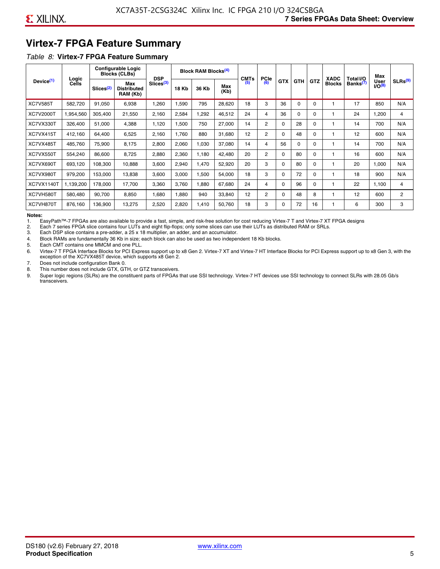# **Virtex-7 FPGA Feature Summary**

#### *Table 8:* **Virtex-7 FPGA Feature Summary**

|                       |                |                       | <b>Configurable Logic</b><br><b>Blocks (CLBs)</b> | <b>DSP</b>            |       | <b>Block RAM Blocks<sup>(4)</sup></b> |             | <b>CMTs</b> | PCle           |            |            |            | <b>XADC</b>   | Total I/O            | Max                        |                |
|-----------------------|----------------|-----------------------|---------------------------------------------------|-----------------------|-------|---------------------------------------|-------------|-------------|----------------|------------|------------|------------|---------------|----------------------|----------------------------|----------------|
| Device <sup>(1)</sup> | Logic<br>Cells | Slices <sup>(2)</sup> | Max<br><b>Distributed</b><br>RAM (Kb)             | Slices <sup>(3)</sup> | 18 Kb | 36 Kb                                 | Max<br>(Kb) | (5)         | (6)            | <b>GTX</b> | <b>GTH</b> | <b>GTZ</b> | <b>Blocks</b> | Banks <sup>(7)</sup> | <b>User</b><br>$1/O^{(8)}$ | SLRs(9)        |
| <b>XC7V585T</b>       | 582,720        | 91,050                | 6,938                                             | ,260                  | .590  | 795                                   | 28,620      | 18          | 3              | 36         | $\Omega$   | 0          |               | 17                   | 850                        | N/A            |
| XC7V2000T             | 1,954,560      | 305,400               | 21,550                                            | 2,160                 | 2,584 | ,292                                  | 46,512      | 24          | 4              | 36         | 0          | 0          |               | 24                   | ,200                       | 4              |
| XC7VX330T             | 326,400        | 51,000                | 4,388                                             | 1,120                 | 1,500 | 750                                   | 27,000      | 14          | $\overline{2}$ | 0          | 28         | 0          |               | 14                   | 700                        | N/A            |
| XC7VX415T             | 412,160        | 64,400                | 6,525                                             | 2,160                 | 1,760 | 880                                   | 31,680      | 12          | $\overline{2}$ | $\Omega$   | 48         | $\Omega$   |               | 12                   | 600                        | N/A            |
| XC7VX485T             | 485,760        | 75,900                | 8,175                                             | 2,800                 | 2,060 | 1,030                                 | 37,080      | 14          | 4              | 56         | 0          | $\Omega$   |               | 14                   | 700                        | N/A            |
| XC7VX550T             | 554,240        | 86,600                | 8,725                                             | 2,880                 | 2,360 | 1,180                                 | 42,480      | 20          | $\overline{2}$ | $\Omega$   | 80         | 0          |               | 16                   | 600                        | N/A            |
| XC7VX690T             | 693,120        | 108,300               | 10,888                                            | 3,600                 | 2,940 | <b>470</b>                            | 52,920      | 20          | 3              | 0          | 80         | 0          |               | 20                   | 1,000                      | N/A            |
| XC7VX980T             | 979,200        | 153,000               | 13,838                                            | 3,600                 | 3,000 | 1,500                                 | 54,000      | 18          | 3              | 0          | 72         | 0          |               | 18                   | 900                        | N/A            |
| <b>XC7VX1140T</b>     | 1,139,200      | 178,000               | 17,700                                            | 3,360                 | 3,760 | ,880                                  | 67,680      | 24          | 4              | 0          | 96         | 0          |               | 22                   | 1,100                      | 4              |
| XC7VH580T             | 580,480        | 90,700                | 8,850                                             | <b>680,</b>           | 1,880 | 940                                   | 33,840      | 12          | $\overline{c}$ | 0          | 48         | 8          |               | 12                   | 600                        | $\overline{2}$ |
| XC7VH870T             | 876,160        | 136,900               | 13,275                                            | 2,520                 | 2,820 | 1,410                                 | 50,760      | 18          | 3              | 0          | 72         | 16         |               | 6                    | 300                        | 3              |

#### **Notes:**

1. EasyPath™-7 FPGAs are also available to provide a fast, simple, and risk-free solution for cost reducing Virtex-7 T and Virtex-7 XT FPGA designs

2. Each 7 series FPGA slice contains four LUTs and eight flip-flops; only some slices can use their LUTs as distributed RAM or SRLs.

Each DSP slice contains a pre-adder, a 25 x 18 multiplier, an adder, and an accumulator.

4. Block RAMs are fundamentally 36 Kb in size; each block can also be used as two independent 18 Kb blocks.

5. Each CMT contains one MMCM and one PLL.

6. Virtex-7 T FPGA Interface Blocks for PCI Express support up to x8 Gen 2. Virtex-7 XT and Virtex-7 HT Interface Blocks for PCI Express support up to x8 Gen 3, with the exception of the XC7VX485T device, which supports x8 Gen 2.

7. Does not include configuration Bank 0.

8. This number does not include GTX, GTH, or GTZ transceivers.

9. Super logic regions (SLRs) are the constituent parts of FPGAs that use SSI technology. Virtex-7 HT devices use SSI technology to connect SLRs with 28.05 Gb/s transceivers.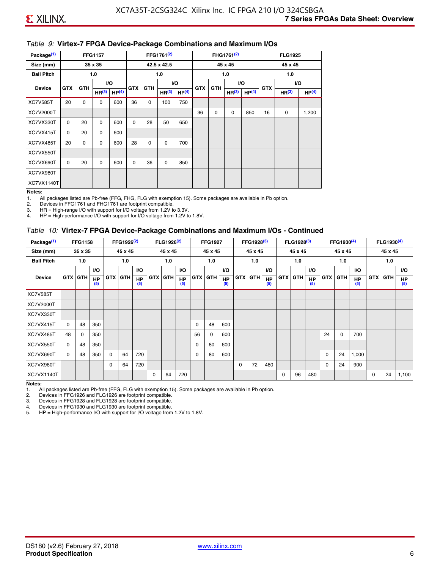#### *Table 9:* **Virtex-7 FPGA Device-Package Combinations and Maximum I/Os**

| Package <sup>(1)</sup> |            | <b>FFG1157</b><br>35 x 35 |                   |                   |            |            | FFG1761 <sup>(2)</sup> |                   |            |             | FHG1761 <sup>(2)</sup> |                   |            | <b>FLG1925</b>    |                   |
|------------------------|------------|---------------------------|-------------------|-------------------|------------|------------|------------------------|-------------------|------------|-------------|------------------------|-------------------|------------|-------------------|-------------------|
| Size (mm)              |            |                           |                   |                   |            |            | 42.5 x 42.5            |                   |            |             | 45 x 45                |                   |            | 45 x 45           |                   |
| <b>Ball Pitch</b>      |            |                           | 1.0               |                   |            |            | 1.0                    |                   |            |             | 1.0                    |                   |            | 1.0               |                   |
| <b>Device</b>          | <b>GTX</b> | <b>GTH</b>                |                   | I/O               | <b>GTX</b> | <b>GTH</b> |                        | I/O               | <b>GTX</b> | <b>GTH</b>  |                        | VO.               | <b>GTX</b> |                   | VO.               |
|                        |            |                           | HR <sup>(3)</sup> | HP <sup>(4)</sup> |            |            | HR <sup>(3)</sup>      | HP <sup>(4)</sup> |            |             | HR <sup>(3)</sup>      | HP <sup>(4)</sup> |            | HR <sup>(3)</sup> | HP <sup>(4)</sup> |
| <b>XC7V585T</b>        | 20         | $\mathbf 0$               | 0                 | 600               | 36         | 0          | 100                    | 750               |            |             |                        |                   |            |                   |                   |
| XC7V2000T              |            |                           |                   |                   |            |            |                        |                   | 36         | $\mathbf 0$ | 0                      | 850               | 16         | 0                 | 1,200             |
| XC7VX330T              | $\Omega$   | 20                        | $\Omega$          | 600               | 0          | 28         | 50                     | 650               |            |             |                        |                   |            |                   |                   |
| XC7VX415T              | 0          | 20                        | $\Omega$          | 600               |            |            |                        |                   |            |             |                        |                   |            |                   |                   |
| XC7VX485T              | 20         | 0                         | 0                 | 600               | 28         | 0          | 0                      | 700               |            |             |                        |                   |            |                   |                   |
| XC7VX550T              |            |                           |                   |                   |            |            |                        |                   |            |             |                        |                   |            |                   |                   |
| XC7VX690T              | $\Omega$   | 20                        | $\Omega$          | 600               | $\Omega$   | 36         | 0                      | 850               |            |             |                        |                   |            |                   |                   |
| XC7VX980T              |            |                           |                   |                   |            |            |                        |                   |            |             |                        |                   |            |                   |                   |
| XC7VX1140T             |            |                           |                   |                   |            |            |                        |                   |            |             |                        |                   |            |                   |                   |

#### **Notes:**

1. All packages listed are Pb-free (FFG, FHG, FLG with exemption 15). Some packages are available in Pb option.

2. Devices in FFG1761 and FHG1761 are footprint compatible.<br>3. HR = High-range I/O with support for I/O voltage from 1.2V to

HR = High-range I/O with support for I/O voltage from 1.2V to 3.3V.

4. HP = High-performance I/O with support for I/O voltage from 1.2V to 1.8V.

#### *Table 10:* **Virtex-7 FPGA Device-Package Combinations and Maximum I/Os - Continued**

| Package <sup>(1)</sup> |          | <b>FFG1158</b> |                  |            | FFG1926 <sup>(2)</sup> |                  |            | FLG1926 <sup>(2)</sup> |                  |    | <b>FFG1927</b> |                  |            | FFG1928 <sup>(3)</sup> |                  |            | FLG1928 <sup>(3)</sup> |                  |            | FFG1930 <sup>(4)</sup> |           |            | FLG1930 <sup>(4)</sup> |                  |
|------------------------|----------|----------------|------------------|------------|------------------------|------------------|------------|------------------------|------------------|----|----------------|------------------|------------|------------------------|------------------|------------|------------------------|------------------|------------|------------------------|-----------|------------|------------------------|------------------|
| Size (mm)              |          | 35 x 35        |                  |            | 45 x 45                |                  |            | 45 x 45                |                  |    | 45 x 45        |                  |            | 45 x 45                |                  |            | 45 x 45                |                  |            | 45 x 45                |           |            | 45 x 45                |                  |
| <b>Ball Pitch</b>      |          | 1.0            |                  |            | 1.0                    |                  |            | 1.0                    |                  |    | 1.0            |                  |            | 1.0                    |                  |            | 1.0                    |                  |            | 1.0                    |           |            | 1.0                    |                  |
|                        |          |                | <b>VO</b>        |            |                        | <b>VO</b>        |            |                        | <b>VO</b>        |    |                | <b>VO</b>        |            |                        | <b>VO</b>        |            |                        | <b>VO</b>        |            |                        | <b>VO</b> |            |                        | <b>VO</b>        |
| <b>Device</b>          |          | <b>GTX GTH</b> | <b>HP</b><br>(5) | <b>GTX</b> | <b>GTH</b>             | <b>HP</b><br>(5) | <b>GTX</b> | <b>GTH</b>             | <b>HP</b><br>(5) |    | <b>GTX GTH</b> | <b>HP</b><br>(5) | <b>GTX</b> | <b>GTH</b>             | <b>HP</b><br>(5) | <b>GTX</b> | <b>GTH</b>             | <b>HP</b><br>(5) | <b>GTX</b> | GTH                    | HP<br>(5) | <b>GTX</b> | GTH                    | <b>HP</b><br>(5) |
| <b>XC7V585T</b>        |          |                |                  |            |                        |                  |            |                        |                  |    |                |                  |            |                        |                  |            |                        |                  |            |                        |           |            |                        |                  |
| <b>XC7V2000T</b>       |          |                |                  |            |                        |                  |            |                        |                  |    |                |                  |            |                        |                  |            |                        |                  |            |                        |           |            |                        |                  |
| XC7VX330T              |          |                |                  |            |                        |                  |            |                        |                  |    |                |                  |            |                        |                  |            |                        |                  |            |                        |           |            |                        |                  |
| XC7VX415T              | $\Omega$ | 48             | 350              |            |                        |                  |            |                        |                  | 0  | 48             | 600              |            |                        |                  |            |                        |                  |            |                        |           |            |                        |                  |
| XC7VX485T              | 48       | $\Omega$       | 350              |            |                        |                  |            |                        |                  | 56 | 0              | 600              |            |                        |                  |            |                        |                  | 24         | $\Omega$               | 700       |            |                        |                  |
| XC7VX550T              | $\Omega$ | 48             | 350              |            |                        |                  |            |                        |                  | 0  | 80             | 600              |            |                        |                  |            |                        |                  |            |                        |           |            |                        |                  |
| XC7VX690T              | $\Omega$ | 48             | 350              | $\Omega$   | 64                     | 720              |            |                        |                  | 0  | 80             | 600              |            |                        |                  |            |                        |                  | 0          | 24                     | 1,000     |            |                        |                  |
| XC7VX980T              |          |                |                  | $\Omega$   | 64                     | 720              |            |                        |                  |    |                |                  | $\Omega$   | 72                     | 480              |            |                        |                  | 0          | 24                     | 900       |            |                        |                  |
| <b>XC7VX1140T</b>      |          |                |                  |            |                        |                  | $\Omega$   | 64                     | 720              |    |                |                  |            |                        |                  | $\Omega$   | 96                     | 480              |            |                        |           | $\Omega$   | 24                     | 1,100            |

**Notes:** 

1. All packages listed are Pb-free (FFG, FLG with exemption 15). Some packages are available in Pb option.<br>2. Devices in FFG1926 and FLG1926 are footprint compatible.

2. Devices in FFG1926 and FLG1926 are footprint compatible.

3. Devices in FFG1928 and FLG1928 are footprint compatible.

4. Devices in FFG1930 and FLG1930 are footprint compatible.<br>5. HP = High-performance I/O with support for I/O voltage from HP = High-performance I/O with support for I/O voltage from 1.2V to 1.8V.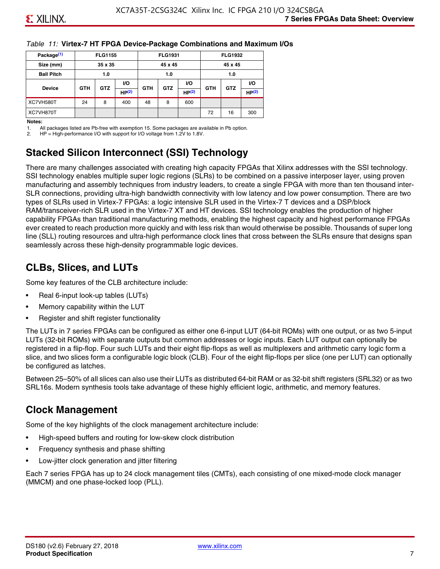#### *Table 11:* **Virtex-7 HT FPGA Device-Package Combinations and Maximum I/Os**

| Package <sup>(1)</sup> |            | <b>FLG1155</b> |       |            | <b>FLG1931</b> |           |            | <b>FLG1932</b> |                   |
|------------------------|------------|----------------|-------|------------|----------------|-----------|------------|----------------|-------------------|
| Size (mm)              |            | 35 x 35        |       |            | 45 x 45        |           |            | 45 x 45        |                   |
| <b>Ball Pitch</b>      |            | 1.0            |       |            | 1.0            |           |            | 1.0            |                   |
|                        |            | <b>GTZ</b>     | VO.   |            |                | <b>VO</b> | <b>GTH</b> | <b>GTZ</b>     | VO.               |
| <b>Device</b>          | <b>GTH</b> |                | HP(2) | <b>GTH</b> | <b>GTZ</b>     | HP(2)     |            |                | HP <sup>(2)</sup> |
| XC7VH580T              | 24         | 8              | 400   | 48         | 8              | 600       |            |                |                   |
| XC7VH870T              |            |                |       |            |                |           | 72         | 16             | 300               |

#### **Notes:**

1. All packages listed are Pb-free with exemption 15. Some packages are available in Pb option.

2. HP = High-performance I/O with support for I/O voltage from 1.2V to 1.8V.

# **Stacked Silicon Interconnect (SSI) Technology**

There are many challenges associated with creating high capacity FPGAs that Xilinx addresses with the SSI technology. SSI technology enables multiple super logic regions (SLRs) to be combined on a passive interposer layer, using proven manufacturing and assembly techniques from industry leaders, to create a single FPGA with more than ten thousand inter-SLR connections, providing ultra-high bandwidth connectivity with low latency and low power consumption. There are two types of SLRs used in Virtex-7 FPGAs: a logic intensive SLR used in the Virtex-7 T devices and a DSP/block RAM/transceiver-rich SLR used in the Virtex-7 XT and HT devices. SSI technology enables the production of higher capability FPGAs than traditional manufacturing methods, enabling the highest capacity and highest performance FPGAs ever created to reach production more quickly and with less risk than would otherwise be possible. Thousands of super long line (SLL) routing resources and ultra-high performance clock lines that cross between the SLRs ensure that designs span seamlessly across these high-density programmable logic devices.

### **CLBs, Slices, and LUTs**

Some key features of the CLB architecture include:

- Real 6-input look-up tables (LUTs)
- Memory capability within the LUT
- Register and shift register functionality

The LUTs in 7 series FPGAs can be configured as either one 6-input LUT (64-bit ROMs) with one output, or as two 5-input LUTs (32-bit ROMs) with separate outputs but common addresses or logic inputs. Each LUT output can optionally be registered in a flip-flop. Four such LUTs and their eight flip-flops as well as multiplexers and arithmetic carry logic form a slice, and two slices form a configurable logic block (CLB). Four of the eight flip-flops per slice (one per LUT) can optionally be configured as latches.

Between 25–50% of all slices can also use their LUTs as distributed 64-bit RAM or as 32-bit shift registers (SRL32) or as two SRL16s. Modern synthesis tools take advantage of these highly efficient logic, arithmetic, and memory features.

### **Clock Management**

Some of the key highlights of the clock management architecture include:

- High-speed buffers and routing for low-skew clock distribution
- Frequency synthesis and phase shifting
- Low-jitter clock generation and jitter filtering

Each 7 series FPGA has up to 24 clock management tiles (CMTs), each consisting of one mixed-mode clock manager (MMCM) and one phase-locked loop (PLL).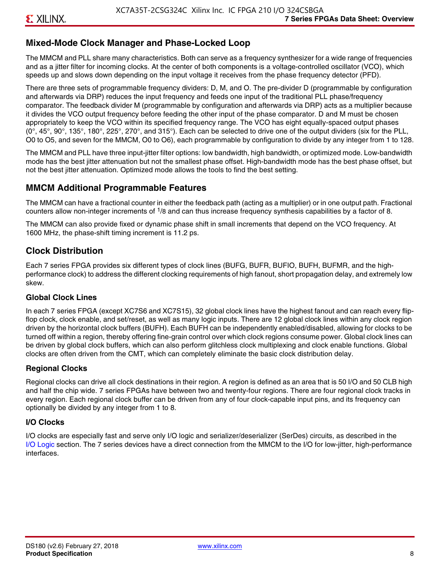### **Mixed-Mode Clock Manager and Phase-Locked Loop**

The MMCM and PLL share many characteristics. Both can serve as a frequency synthesizer for a wide range of frequencies and as a jitter filter for incoming clocks. At the center of both components is a voltage-controlled oscillator (VCO), which speeds up and slows down depending on the input voltage it receives from the phase frequency detector (PFD).

There are three sets of programmable frequency dividers: D, M, and O. The pre-divider D (programmable by configuration and afterwards via DRP) reduces the input frequency and feeds one input of the traditional PLL phase/frequency comparator. The feedback divider M (programmable by configuration and afterwards via DRP) acts as a multiplier because it divides the VCO output frequency before feeding the other input of the phase comparator. D and M must be chosen appropriately to keep the VCO within its specified frequency range. The VCO has eight equally-spaced output phases  $(0^\circ, 45^\circ, 90^\circ, 135^\circ, 180^\circ, 225^\circ, 270^\circ,$  and  $315^\circ$ ). Each can be selected to drive one of the output dividers (six for the PLL, O0 to O5, and seven for the MMCM, O0 to O6), each programmable by configuration to divide by any integer from 1 to 128.

The MMCM and PLL have three input-jitter filter options: low bandwidth, high bandwidth, or optimized mode. Low-bandwidth mode has the best jitter attenuation but not the smallest phase offset. High-bandwidth mode has the best phase offset, but not the best jitter attenuation. Optimized mode allows the tools to find the best setting.

#### **MMCM Additional Programmable Features**

The MMCM can have a fractional counter in either the feedback path (acting as a multiplier) or in one output path. Fractional counters allow non-integer increments of  $1/8$  and can thus increase frequency synthesis capabilities by a factor of 8.

The MMCM can also provide fixed or dynamic phase shift in small increments that depend on the VCO frequency. At 1600 MHz, the phase-shift timing increment is 11.2 ps.

### **Clock Distribution**

Each 7 series FPGA provides six different types of clock lines (BUFG, BUFR, BUFIO, BUFH, BUFMR, and the highperformance clock) to address the different clocking requirements of high fanout, short propagation delay, and extremely low skew.

#### **Global Clock Lines**

In each 7 series FPGA (except XC7S6 and XC7S15), 32 global clock lines have the highest fanout and can reach every flipflop clock, clock enable, and set/reset, as well as many logic inputs. There are 12 global clock lines within any clock region driven by the horizontal clock buffers (BUFH). Each BUFH can be independently enabled/disabled, allowing for clocks to be turned off within a region, thereby offering fine-grain control over which clock regions consume power. Global clock lines can be driven by global clock buffers, which can also perform glitchless clock multiplexing and clock enable functions. Global clocks are often driven from the CMT, which can completely eliminate the basic clock distribution delay.

#### **Regional Clocks**

Regional clocks can drive all clock destinations in their region. A region is defined as an area that is 50 I/O and 50 CLB high and half the chip wide. 7 series FPGAs have between two and twenty-four regions. There are four regional clock tracks in every region. Each regional clock buffer can be driven from any of four clock-capable input pins, and its frequency can optionally be divided by any integer from 1 to 8.

#### **I/O Clocks**

I/O clocks are especially fast and serve only I/O logic and serializer/deserializer (SerDes) circuits, as described in the I/O Logic section. The 7 series devices have a direct connection from the MMCM to the I/O for low-jitter, high-performance interfaces.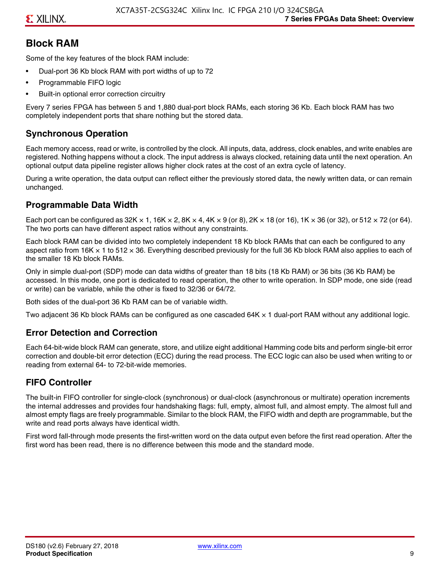### **Block RAM**

Some of the key features of the block RAM include:

- Dual-port 36 Kb block RAM with port widths of up to 72
- Programmable FIFO logic
- Built-in optional error correction circuitry

Every 7 series FPGA has between 5 and 1,880 dual-port block RAMs, each storing 36 Kb. Each block RAM has two completely independent ports that share nothing but the stored data.

### **Synchronous Operation**

Each memory access, read or write, is controlled by the clock. All inputs, data, address, clock enables, and write enables are registered. Nothing happens without a clock. The input address is always clocked, retaining data until the next operation. An optional output data pipeline register allows higher clock rates at the cost of an extra cycle of latency.

During a write operation, the data output can reflect either the previously stored data, the newly written data, or can remain unchanged.

#### **Programmable Data Width**

Each port can be configured as 32K  $\times$  1, 16K  $\times$  2, 8K  $\times$  4, 4K  $\times$  9 (or 8), 2K  $\times$  18 (or 16), 1K  $\times$  36 (or 32), or 512  $\times$  72 (or 64). The two ports can have different aspect ratios without any constraints.

Each block RAM can be divided into two completely independent 18 Kb block RAMs that can each be configured to any aspect ratio from 16K  $\times$  1 to 512  $\times$  36. Everything described previously for the full 36 Kb block RAM also applies to each of the smaller 18 Kb block RAMs.

Only in simple dual-port (SDP) mode can data widths of greater than 18 bits (18 Kb RAM) or 36 bits (36 Kb RAM) be accessed. In this mode, one port is dedicated to read operation, the other to write operation. In SDP mode, one side (read or write) can be variable, while the other is fixed to 32/36 or 64/72.

Both sides of the dual-port 36 Kb RAM can be of variable width.

Two adjacent 36 Kb block RAMs can be configured as one cascaded 64K × 1 dual-port RAM without any additional logic.

#### **Error Detection and Correction**

Each 64-bit-wide block RAM can generate, store, and utilize eight additional Hamming code bits and perform single-bit error correction and double-bit error detection (ECC) during the read process. The ECC logic can also be used when writing to or reading from external 64- to 72-bit-wide memories.

### **FIFO Controller**

The built-in FIFO controller for single-clock (synchronous) or dual-clock (asynchronous or multirate) operation increments the internal addresses and provides four handshaking flags: full, empty, almost full, and almost empty. The almost full and almost empty flags are freely programmable. Similar to the block RAM, the FIFO width and depth are programmable, but the write and read ports always have identical width.

First word fall-through mode presents the first-written word on the data output even before the first read operation. After the first word has been read, there is no difference between this mode and the standard mode.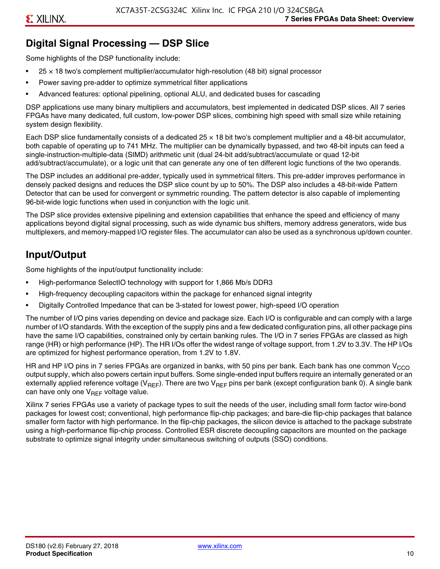# **Digital Signal Processing — DSP Slice**

Some highlights of the DSP functionality include:

- $25 \times 18$  two's complement multiplier/accumulator high-resolution (48 bit) signal processor
- Power saving pre-adder to optimize symmetrical filter applications
- Advanced features: optional pipelining, optional ALU, and dedicated buses for cascading

DSP applications use many binary multipliers and accumulators, best implemented in dedicated DSP slices. All 7 series FPGAs have many dedicated, full custom, low-power DSP slices, combining high speed with small size while retaining system design flexibility.

Each DSP slice fundamentally consists of a dedicated 25 × 18 bit two's complement multiplier and a 48-bit accumulator, both capable of operating up to 741 MHz. The multiplier can be dynamically bypassed, and two 48-bit inputs can feed a single-instruction-multiple-data (SIMD) arithmetic unit (dual 24-bit add/subtract/accumulate or quad 12-bit add/subtract/accumulate), or a logic unit that can generate any one of ten different logic functions of the two operands.

The DSP includes an additional pre-adder, typically used in symmetrical filters. This pre-adder improves performance in densely packed designs and reduces the DSP slice count by up to 50%. The DSP also includes a 48-bit-wide Pattern Detector that can be used for convergent or symmetric rounding. The pattern detector is also capable of implementing 96-bit-wide logic functions when used in conjunction with the logic unit.

The DSP slice provides extensive pipelining and extension capabilities that enhance the speed and efficiency of many applications beyond digital signal processing, such as wide dynamic bus shifters, memory address generators, wide bus multiplexers, and memory-mapped I/O register files. The accumulator can also be used as a synchronous up/down counter.

# **Input/Output**

Some highlights of the input/output functionality include:

- High-performance SelectIO technology with support for 1,866 Mb/s DDR3
- High-frequency decoupling capacitors within the package for enhanced signal integrity
- Digitally Controlled Impedance that can be 3-stated for lowest power, high-speed I/O operation

The number of I/O pins varies depending on device and package size. Each I/O is configurable and can comply with a large number of I/O standards. With the exception of the supply pins and a few dedicated configuration pins, all other package pins have the same I/O capabilities, constrained only by certain banking rules. The I/O in 7 series FPGAs are classed as high range (HR) or high performance (HP). The HR I/Os offer the widest range of voltage support, from 1.2V to 3.3V. The HP I/Os are optimized for highest performance operation, from 1.2V to 1.8V.

HR and HP I/O pins in 7 series FPGAs are organized in banks, with 50 pins per bank. Each bank has one common V<sub>CCO</sub> output supply, which also powers certain input buffers. Some single-ended input buffers require an internally generated or an externally applied reference voltage ( $V_{RFF}$ ). There are two  $V_{RFF}$  pins per bank (except configuration bank 0). A single bank can have only one  $V_{\text{RFF}}$  voltage value.

Xilinx 7 series FPGAs use a variety of package types to suit the needs of the user, including small form factor wire-bond packages for lowest cost; conventional, high performance flip-chip packages; and bare-die flip-chip packages that balance smaller form factor with high performance. In the flip-chip packages, the silicon device is attached to the package substrate using a high-performance flip-chip process. Controlled ESR discrete decoupling capacitors are mounted on the package substrate to optimize signal integrity under simultaneous switching of outputs (SSO) conditions.

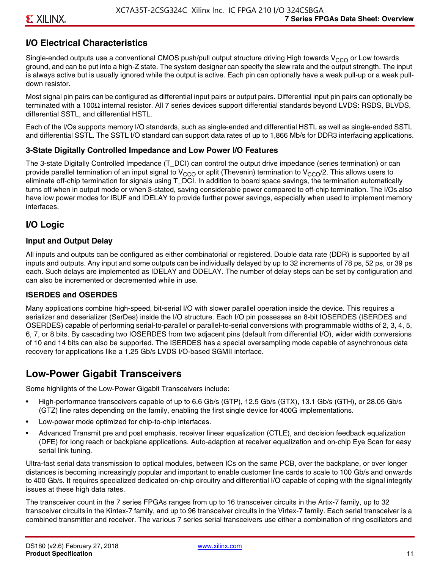### **I/O Electrical Characteristics**

Single-ended outputs use a conventional CMOS push/pull output structure driving High towards  $V_{CCO}$  or Low towards ground, and can be put into a high-Z state. The system designer can specify the slew rate and the output strength. The input is always active but is usually ignored while the output is active. Each pin can optionally have a weak pull-up or a weak pulldown resistor.

Most signal pin pairs can be configured as differential input pairs or output pairs. Differential input pin pairs can optionally be terminated with a 100Ω internal resistor. All 7 series devices support differential standards beyond LVDS: RSDS, BLVDS, differential SSTL, and differential HSTL.

Each of the I/Os supports memory I/O standards, such as single-ended and differential HSTL as well as single-ended SSTL and differential SSTL. The SSTL I/O standard can support data rates of up to 1,866 Mb/s for DDR3 interfacing applications.

#### **3-State Digitally Controlled Impedance and Low Power I/O Features**

The 3-state Digitally Controlled Impedance (T\_DCI) can control the output drive impedance (series termination) or can provide parallel termination of an input signal to V<sub>CCO</sub> or split (Thevenin) termination to V<sub>CCO</sub>/2. This allows users to eliminate off-chip termination for signals using T\_DCI. In addition to board space savings, the termination automatically turns off when in output mode or when 3-stated, saving considerable power compared to off-chip termination. The I/Os also have low power modes for IBUF and IDELAY to provide further power savings, especially when used to implement memory interfaces.

### **I/O Logic**

#### **Input and Output Delay**

All inputs and outputs can be configured as either combinatorial or registered. Double data rate (DDR) is supported by all inputs and outputs. Any input and some outputs can be individually delayed by up to 32 increments of 78 ps, 52 ps, or 39 ps each. Such delays are implemented as IDELAY and ODELAY. The number of delay steps can be set by configuration and can also be incremented or decremented while in use.

#### **ISERDES and OSERDES**

Many applications combine high-speed, bit-serial I/O with slower parallel operation inside the device. This requires a serializer and deserializer (SerDes) inside the I/O structure. Each I/O pin possesses an 8-bit IOSERDES (ISERDES and OSERDES) capable of performing serial-to-parallel or parallel-to-serial conversions with programmable widths of 2, 3, 4, 5, 6, 7, or 8 bits. By cascading two IOSERDES from two adjacent pins (default from differential I/O), wider width conversions of 10 and 14 bits can also be supported. The ISERDES has a special oversampling mode capable of asynchronous data recovery for applications like a 1.25 Gb/s LVDS I/O-based SGMII interface.

### **Low-Power Gigabit Transceivers**

Some highlights of the Low-Power Gigabit Transceivers include:

- High-performance transceivers capable of up to 6.6 Gb/s (GTP), 12.5 Gb/s (GTX), 13.1 Gb/s (GTH), or 28.05 Gb/s (GTZ) line rates depending on the family, enabling the first single device for 400G implementations.
- Low-power mode optimized for chip-to-chip interfaces.
- Advanced Transmit pre and post emphasis, receiver linear equalization (CTLE), and decision feedback equalization (DFE) for long reach or backplane applications. Auto-adaption at receiver equalization and on-chip Eye Scan for easy serial link tuning.

Ultra-fast serial data transmission to optical modules, between ICs on the same PCB, over the backplane, or over longer distances is becoming increasingly popular and important to enable customer line cards to scale to 100 Gb/s and onwards to 400 Gb/s. It requires specialized dedicated on-chip circuitry and differential I/O capable of coping with the signal integrity issues at these high data rates.

The transceiver count in the 7 series FPGAs ranges from up to 16 transceiver circuits in the Artix-7 family, up to 32 transceiver circuits in the Kintex-7 family, and up to 96 transceiver circuits in the Virtex-7 family. Each serial transceiver is a combined transmitter and receiver. The various 7 series serial transceivers use either a combination of ring oscillators and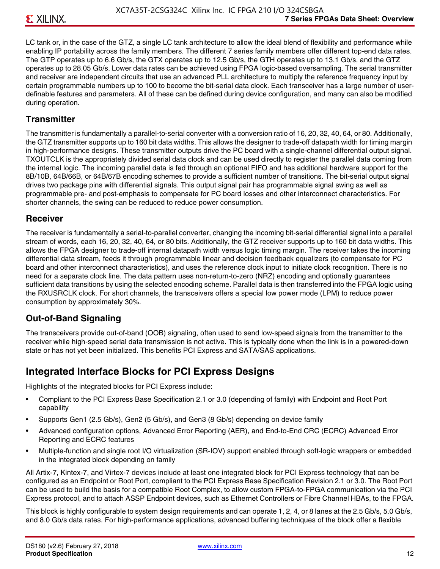LC tank or, in the case of the GTZ, a single LC tank architecture to allow the ideal blend of flexibility and performance while enabling IP portability across the family members. The different 7 series family members offer different top-end data rates. The GTP operates up to 6.6 Gb/s, the GTX operates up to 12.5 Gb/s, the GTH operates up to 13.1 Gb/s, and the GTZ operates up to 28.05 Gb/s. Lower data rates can be achieved using FPGA logic-based oversampling. The serial transmitter and receiver are independent circuits that use an advanced PLL architecture to multiply the reference frequency input by certain programmable numbers up to 100 to become the bit-serial data clock. Each transceiver has a large number of userdefinable features and parameters. All of these can be defined during device configuration, and many can also be modified during operation.

#### **Transmitter**

The transmitter is fundamentally a parallel-to-serial converter with a conversion ratio of 16, 20, 32, 40, 64, or 80. Additionally, the GTZ transmitter supports up to 160 bit data widths. This allows the designer to trade-off datapath width for timing margin in high-performance designs. These transmitter outputs drive the PC board with a single-channel differential output signal. TXOUTCLK is the appropriately divided serial data clock and can be used directly to register the parallel data coming from the internal logic. The incoming parallel data is fed through an optional FIFO and has additional hardware support for the 8B/10B, 64B/66B, or 64B/67B encoding schemes to provide a sufficient number of transitions. The bit-serial output signal drives two package pins with differential signals. This output signal pair has programmable signal swing as well as programmable pre- and post-emphasis to compensate for PC board losses and other interconnect characteristics. For shorter channels, the swing can be reduced to reduce power consumption.

#### **Receiver**

The receiver is fundamentally a serial-to-parallel converter, changing the incoming bit-serial differential signal into a parallel stream of words, each 16, 20, 32, 40, 64, or 80 bits. Additionally, the GTZ receiver supports up to 160 bit data widths. This allows the FPGA designer to trade-off internal datapath width versus logic timing margin. The receiver takes the incoming differential data stream, feeds it through programmable linear and decision feedback equalizers (to compensate for PC board and other interconnect characteristics), and uses the reference clock input to initiate clock recognition. There is no need for a separate clock line. The data pattern uses non-return-to-zero (NRZ) encoding and optionally guarantees sufficient data transitions by using the selected encoding scheme. Parallel data is then transferred into the FPGA logic using the RXUSRCLK clock. For short channels, the transceivers offers a special low power mode (LPM) to reduce power consumption by approximately 30%.

### **Out-of-Band Signaling**

The transceivers provide out-of-band (OOB) signaling, often used to send low-speed signals from the transmitter to the receiver while high-speed serial data transmission is not active. This is typically done when the link is in a powered-down state or has not yet been initialized. This benefits PCI Express and SATA/SAS applications.

### **Integrated Interface Blocks for PCI Express Designs**

Highlights of the integrated blocks for PCI Express include:

- Compliant to the PCI Express Base Specification 2.1 or 3.0 (depending of family) with Endpoint and Root Port capability
- Supports Gen1 (2.5 Gb/s), Gen2 (5 Gb/s), and Gen3 (8 Gb/s) depending on device family
- Advanced configuration options, Advanced Error Reporting (AER), and End-to-End CRC (ECRC) Advanced Error Reporting and ECRC features
- Multiple-function and single root I/O virtualization (SR-IOV) support enabled through soft-logic wrappers or embedded in the integrated block depending on family

All Artix-7, Kintex-7, and Virtex-7 devices include at least one integrated block for PCI Express technology that can be configured as an Endpoint or Root Port, compliant to the PCI Express Base Specification Revision 2.1 or 3.0. The Root Port can be used to build the basis for a compatible Root Complex, to allow custom FPGA-to-FPGA communication via the PCI Express protocol, and to attach ASSP Endpoint devices, such as Ethernet Controllers or Fibre Channel HBAs, to the FPGA.

This block is highly configurable to system design requirements and can operate 1, 2, 4, or 8 lanes at the 2.5 Gb/s, 5.0 Gb/s, and 8.0 Gb/s data rates. For high-performance applications, advanced buffering techniques of the block offer a flexible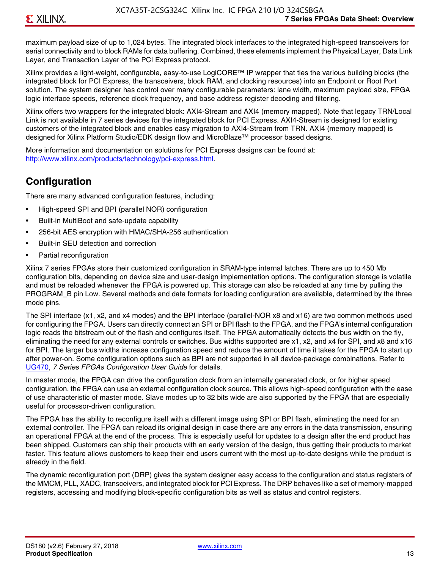maximum payload size of up to 1,024 bytes. The integrated block interfaces to the integrated high-speed transceivers for serial connectivity and to block RAMs for data buffering. Combined, these elements implement the Physical Layer, Data Link Layer, and Transaction Layer of the PCI Express protocol.

Xilinx provides a light-weight, configurable, easy-to-use LogiCORE™ IP wrapper that ties the various building blocks (the integrated block for PCI Express, the transceivers, block RAM, and clocking resources) into an Endpoint or Root Port solution. The system designer has control over many configurable parameters: lane width, maximum payload size, FPGA logic interface speeds, reference clock frequency, and base address register decoding and filtering.

Xilinx offers two wrappers for the integrated block: AXI4-Stream and AXI4 (memory mapped). Note that legacy TRN/Local Link is not available in 7 series devices for the integrated block for PCI Express. AXI4-Stream is designed for existing customers of the integrated block and enables easy migration to AXI4-Stream from TRN. AXI4 (memory mapped) is designed for Xilinx Platform Studio/EDK design flow and MicroBlaze™ processor based designs.

More information and documentation on solutions for PCI Express designs can be found at: <http://www.xilinx.com/products/technology/pci-express.html>.

# **Configuration**

There are many advanced configuration features, including:

- High-speed SPI and BPI (parallel NOR) configuration
- Built-in MultiBoot and safe-update capability
- 256-bit AES encryption with HMAC/SHA-256 authentication
- Built-in SEU detection and correction
- Partial reconfiguration

Xilinx 7 series FPGAs store their customized configuration in SRAM-type internal latches. There are up to 450 Mb configuration bits, depending on device size and user-design implementation options. The configuration storage is volatile and must be reloaded whenever the FPGA is powered up. This storage can also be reloaded at any time by pulling the PROGRAM B pin Low. Several methods and data formats for loading configuration are available, determined by the three mode pins.

The SPI interface (x1, x2, and x4 modes) and the BPI interface (parallel-NOR x8 and x16) are two common methods used for configuring the FPGA. Users can directly connect an SPI or BPI flash to the FPGA, and the FPGA's internal configuration logic reads the bitstream out of the flash and configures itself. The FPGA automatically detects the bus width on the fly, eliminating the need for any external controls or switches. Bus widths supported are x1, x2, and x4 for SPI, and x8 and x16 for BPI. The larger bus widths increase configuration speed and reduce the amount of time it takes for the FPGA to start up after power-on. Some configuration options such as BPI are not supported in all device-package combinations. Refer to [UG470,](http://www.xilinx.com/support/documentation/user_guides/ug470_7Series_Config.pdf) *7 Series FPGAs Configuration User Guide* for details.

In master mode, the FPGA can drive the configuration clock from an internally generated clock, or for higher speed configuration, the FPGA can use an external configuration clock source. This allows high-speed configuration with the ease of use characteristic of master mode. Slave modes up to 32 bits wide are also supported by the FPGA that are especially useful for processor-driven configuration.

The FPGA has the ability to reconfigure itself with a different image using SPI or BPI flash, eliminating the need for an external controller. The FPGA can reload its original design in case there are any errors in the data transmission, ensuring an operational FPGA at the end of the process. This is especially useful for updates to a design after the end product has been shipped. Customers can ship their products with an early version of the design, thus getting their products to market faster. This feature allows customers to keep their end users current with the most up-to-date designs while the product is already in the field.

The dynamic reconfiguration port (DRP) gives the system designer easy access to the configuration and status registers of the MMCM, PLL, XADC, transceivers, and integrated block for PCI Express. The DRP behaves like a set of memory-mapped registers, accessing and modifying block-specific configuration bits as well as status and control registers.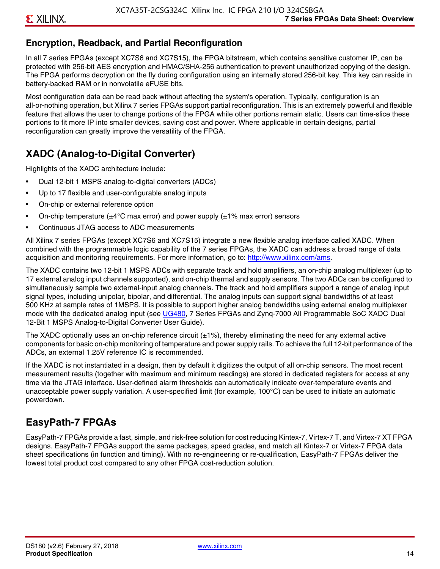### **Encryption, Readback, and Partial Reconfiguration**

In all 7 series FPGAs (except XC7S6 and XC7S15), the FPGA bitstream, which contains sensitive customer IP, can be protected with 256-bit AES encryption and HMAC/SHA-256 authentication to prevent unauthorized copying of the design. The FPGA performs decryption on the fly during configuration using an internally stored 256-bit key. This key can reside in battery-backed RAM or in nonvolatile eFUSE bits.

Most configuration data can be read back without affecting the system's operation. Typically, configuration is an all-or-nothing operation, but Xilinx 7 series FPGAs support partial reconfiguration. This is an extremely powerful and flexible feature that allows the user to change portions of the FPGA while other portions remain static. Users can time-slice these portions to fit more IP into smaller devices, saving cost and power. Where applicable in certain designs, partial reconfiguration can greatly improve the versatility of the FPGA.

# **XADC (Analog-to-Digital Converter)**

Highlights of the XADC architecture include:

- Dual 12-bit 1 MSPS analog-to-digital converters (ADCs)
- Up to 17 flexible and user-configurable analog inputs
- On-chip or external reference option
- On-chip temperature ( $\pm 4^{\circ}$ C max error) and power supply ( $\pm 1\%$  max error) sensors
- Continuous JTAG access to ADC measurements

All Xilinx 7 series FPGAs (except XC7S6 and XC7S15) integrate a new flexible analog interface called XADC. When combined with the programmable logic capability of the 7 series FPGAs, the XADC can address a broad range of data acquisition and monitoring requirements. For more information, go to: [http://www.xilinx.com/ams.](http://www.xilinx.com/ams)

The XADC contains two 12-bit 1 MSPS ADCs with separate track and hold amplifiers, an on-chip analog multiplexer (up to 17 external analog input channels supported), and on-chip thermal and supply sensors. The two ADCs can be configured to simultaneously sample two external-input analog channels. The track and hold amplifiers support a range of analog input signal types, including unipolar, bipolar, and differential. The analog inputs can support signal bandwidths of at least 500 KHz at sample rates of 1MSPS. It is possible to support higher analog bandwidths using external analog multiplexer mode with the dedicated analog input (see [UG480](http://www.xilinx.com/support/documentation/user_guides/ug480_7Series_XADC.pdf), 7 Series FPGAs and Zynq-7000 All Programmable SoC XADC Dual 12-Bit 1 MSPS Analog-to-Digital Converter User Guide)*.*

The XADC optionally uses an on-chip reference circuit  $(\pm 1\%)$ , thereby eliminating the need for any external active components for basic on-chip monitoring of temperature and power supply rails. To achieve the full 12-bit performance of the ADCs, an external 1.25V reference IC is recommended.

If the XADC is not instantiated in a design, then by default it digitizes the output of all on-chip sensors. The most recent measurement results (together with maximum and minimum readings) are stored in dedicated registers for access at any time via the JTAG interface. User-defined alarm thresholds can automatically indicate over-temperature events and unacceptable power supply variation. A user-specified limit (for example, 100°C) can be used to initiate an automatic powerdown.

### **EasyPath-7 FPGAs**

EasyPath-7 FPGAs provide a fast, simple, and risk-free solution for cost reducing Kintex-7, Virtex-7 T, and Virtex-7 XT FPGA designs. EasyPath-7 FPGAs support the same packages, speed grades, and match all Kintex-7 or Virtex-7 FPGA data sheet specifications (in function and timing). With no re-engineering or re-qualification, EasyPath-7 FPGAs deliver the lowest total product cost compared to any other FPGA cost-reduction solution.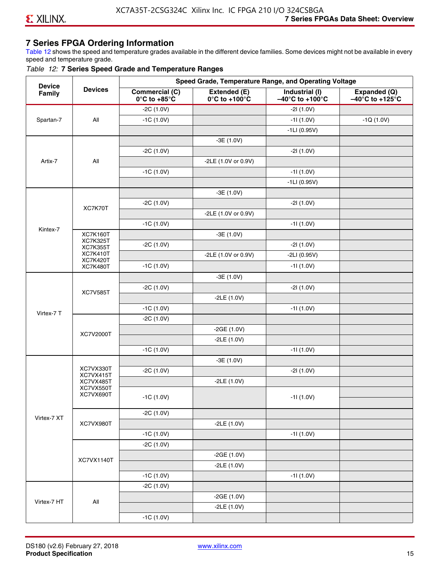### **7 Series FPGA Ordering Information**

Table 12 shows the speed and temperature grades available in the different device families. Some devices might not be available in every speed and temperature grade.

#### *Table 12:* **7 Series Speed Grade and Temperature Ranges**

| <b>Device</b> |                                    |                                                        | Speed Grade, Temperature Range, and Operating Voltage |                                                        |                                                      |
|---------------|------------------------------------|--------------------------------------------------------|-------------------------------------------------------|--------------------------------------------------------|------------------------------------------------------|
| Family        | <b>Devices</b>                     | <b>Commercial (C)</b><br>$0^\circ$ C to +85 $^\circ$ C | Extended (E)<br>$0^{\circ}$ C to +100 $^{\circ}$ C    | Industrial (I)<br>$-40^{\circ}$ C to +100 $^{\circ}$ C | Expanded (Q)<br>$-40^{\circ}$ C to +125 $^{\circ}$ C |
|               |                                    | $-2C(1.0V)$                                            |                                                       | $-21(1.0V)$                                            |                                                      |
| Spartan-7     | All                                | $-1C(1.0V)$                                            |                                                       | $-11(1.0V)$                                            | $-1Q(1.0V)$                                          |
|               |                                    |                                                        |                                                       | $-1LI(0.95V)$                                          |                                                      |
|               |                                    |                                                        | $-3E(1.0V)$                                           |                                                        |                                                      |
|               |                                    | $-2C(1.0V)$                                            |                                                       | $-21(1.0V)$                                            |                                                      |
| Artix-7       | All                                |                                                        | -2LE (1.0V or 0.9V)                                   |                                                        |                                                      |
|               |                                    | $-1C(1.0V)$                                            |                                                       | $-11(1.0V)$                                            |                                                      |
|               |                                    |                                                        |                                                       | $-1LI(0.95V)$                                          |                                                      |
|               |                                    |                                                        | $-3E(1.0V)$                                           |                                                        |                                                      |
|               | XC7K70T                            | $-2C(1.0V)$                                            |                                                       | $-21(1.0V)$                                            |                                                      |
|               |                                    |                                                        | -2LE (1.0V or 0.9V)                                   |                                                        |                                                      |
|               |                                    | $-1C(1.0V)$                                            |                                                       | $-11(1.0V)$                                            |                                                      |
| Kintex-7      | <b>XC7K160T</b>                    |                                                        | $-3E(1.0V)$                                           |                                                        |                                                      |
|               | <b>XC7K325T</b><br><b>XC7K355T</b> | $-2C(1.0V)$                                            |                                                       | $-21(1.0V)$                                            |                                                      |
|               | <b>XC7K410T</b><br><b>XC7K420T</b> |                                                        | -2LE (1.0V or 0.9V)                                   | $-2LI(0.95V)$                                          |                                                      |
|               | <b>XC7K480T</b>                    | $-1C(1.0V)$                                            |                                                       | $-11(1.0V)$                                            |                                                      |
|               |                                    |                                                        | $-3E(1.0V)$                                           |                                                        |                                                      |
|               |                                    | $-2C(1.0V)$                                            |                                                       | $-21(1.0V)$                                            |                                                      |
|               | <b>XC7V585T</b>                    |                                                        | $-2LE(1.0V)$                                          |                                                        |                                                      |
|               |                                    | $-1C(1.0V)$                                            |                                                       | $-11(1.0V)$                                            |                                                      |
| Virtex-7 T    |                                    | $-2C(1.0V)$                                            |                                                       |                                                        |                                                      |
|               |                                    |                                                        | $-2GE(1.0V)$                                          |                                                        |                                                      |
|               | XC7V2000T                          |                                                        | $-2LE(1.0V)$                                          |                                                        |                                                      |
|               |                                    | $-1C(1.0V)$                                            |                                                       | $-11(1.0V)$                                            |                                                      |
|               |                                    |                                                        | $-3E(1.0V)$                                           |                                                        |                                                      |
|               | XC7VX330T                          | $-2C(1.0V)$                                            |                                                       | $-21(1.0V)$                                            |                                                      |
|               | XC7VX415T<br>XC7VX485T             |                                                        | $-2LE(1.0V)$                                          |                                                        |                                                      |
|               | XC7VX550T<br>XC7VX690T             |                                                        |                                                       |                                                        |                                                      |
|               |                                    | $-1C(1.0V)$                                            |                                                       | $-11(1.0V)$                                            |                                                      |
|               |                                    | $-2C(1.0V)$                                            |                                                       |                                                        |                                                      |
| Virtex-7 XT   | XC7VX980T                          |                                                        | $-2LE(1.0V)$                                          |                                                        |                                                      |
|               |                                    | $-1C(1.0V)$                                            |                                                       | $-11(1.0V)$                                            |                                                      |
|               |                                    | $-2C(1.0V)$                                            |                                                       |                                                        |                                                      |
|               |                                    |                                                        | $-2GE(1.0V)$                                          |                                                        |                                                      |
|               | XC7VX1140T                         |                                                        | $-2LE(1.0V)$                                          |                                                        |                                                      |
|               |                                    | $-1C(1.0V)$                                            |                                                       | $-11(1.0V)$                                            |                                                      |
|               |                                    | $-2C(1.0V)$                                            |                                                       |                                                        |                                                      |
|               |                                    |                                                        | $-2GE(1.0V)$                                          |                                                        |                                                      |
| Virtex-7 HT   | All                                |                                                        | $-2LE(1.0V)$                                          |                                                        |                                                      |
|               |                                    | $-1C(1.0V)$                                            |                                                       |                                                        |                                                      |
|               |                                    |                                                        |                                                       |                                                        |                                                      |

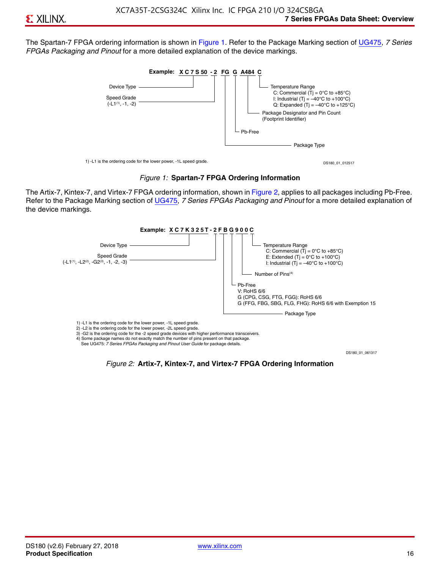The Spartan-7 FPGA ordering information is shown in Figure 1. Refer to the Package Marking section of [UG475,](http://www.xilinx.com/support/documentation/user_guides/ug475_7Series_Pkg_Pinout.pdf) *7 Series FPGAs Packaging and Pinout* for a more detailed explanation of the device markings.





The Artix-7, Kintex-7, and Virtex-7 FPGA ordering information, shown in Figure 2, applies to all packages including Pb-Free. Refer to the Package Marking section of [UG475](http://www.xilinx.com/support/documentation/user_guides/ug475_7Series_Pkg_Pinout.pdf), *7 Series FPGAs Packaging and Pinout* for a more detailed explanation of the device markings.



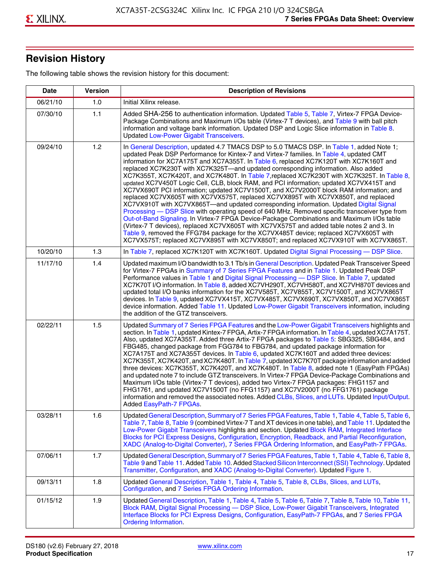# **Revision History**

The following table shows the revision history for this document:

| <b>Date</b> | <b>Version</b> | <b>Description of Revisions</b>                                                                                                                                                                                                                                                                                                                                                                                                                                                                                                                                                                                                                                                                                                                                                                                                                                                                                                                                                                                                                                                                                                                                                                                                                                                                                       |
|-------------|----------------|-----------------------------------------------------------------------------------------------------------------------------------------------------------------------------------------------------------------------------------------------------------------------------------------------------------------------------------------------------------------------------------------------------------------------------------------------------------------------------------------------------------------------------------------------------------------------------------------------------------------------------------------------------------------------------------------------------------------------------------------------------------------------------------------------------------------------------------------------------------------------------------------------------------------------------------------------------------------------------------------------------------------------------------------------------------------------------------------------------------------------------------------------------------------------------------------------------------------------------------------------------------------------------------------------------------------------|
| 06/21/10    | 1.0            | Initial Xilinx release.                                                                                                                                                                                                                                                                                                                                                                                                                                                                                                                                                                                                                                                                                                                                                                                                                                                                                                                                                                                                                                                                                                                                                                                                                                                                                               |
| 07/30/10    | 1.1            | Added SHA-256 to authentication information. Updated Table 5, Table 7, Virtex-7 FPGA Device-<br>Package Combinations and Maximum I/Os table (Virtex-7 T devices), and Table 9 with ball pitch<br>information and voltage bank information. Updated DSP and Logic Slice information in Table 8.<br><b>Updated Low-Power Gigabit Transceivers.</b>                                                                                                                                                                                                                                                                                                                                                                                                                                                                                                                                                                                                                                                                                                                                                                                                                                                                                                                                                                      |
| 09/24/10    | 1.2            | In General Description, updated 4.7 TMACS DSP to 5.0 TMACS DSP. In Table 1, added Note 1;<br>updated Peak DSP Performance for Kintex-7 and Virtex-7 families. In Table 4, updated CMT<br>information for XC7A175T and XC7A355T. In Table 6, replaced XC7K120T with XC7K160T and<br>replaced XC7K230T with XC7K325T-and updated corresponding information. Also added<br>XC7K355T, XC7K420T, and XC7K480T. In Table 7, replaced XC7K230T with XC7K325T. In Table 8,<br>updated XC7V450T Logic Cell, CLB, block RAM, and PCI information; updated XC7VX415T and<br>XC7VX690T PCI information; updated XC7V1500T, and XC7V2000T block RAM information; and<br>replaced XC7VX605T with XC7VX575T, replaced XC7VX895T with XC7VX850T, and replaced<br>XC7VX910T with XC7VX865T—and updated corresponding information. Updated Digital Signal<br>Processing - DSP Slice with operating speed of 640 MHz. Removed specific transceiver type from<br>Out-of-Band Signaling. In Virtex-7 FPGA Device-Package Combinations and Maximum I/Os table<br>(Virtex-7 T devices), replaced XC7VX605T with XC7VX575T and added table notes 2 and 3. In<br>Table 9, removed the FFG784 package for the XC7VX485T device; replaced XC7VX605T with<br>XC7VX575T; replaced XC7VX895T with XC7VX850T; and replaced XC7VX910T with XC7VX865T. |
| 10/20/10    | 1.3            | In Table 7, replaced XC7K120T with XC7K160T. Updated Digital Signal Processing - DSP Slice.                                                                                                                                                                                                                                                                                                                                                                                                                                                                                                                                                                                                                                                                                                                                                                                                                                                                                                                                                                                                                                                                                                                                                                                                                           |
| 11/17/10    | 1.4            | Updated maximum I/O bandwidth to 3.1 Tb/s in General Description. Updated Peak Transceiver Speed<br>for Virtex-7 FPGAs in Summary of 7 Series FPGA Features and in Table 1. Updated Peak DSP<br>Performance values in Table 1 and Digital Signal Processing - DSP Slice. In Table 7, updated<br>XC7K70T I/O information. In Table 8, added XC7VH290T, XC7VH580T, and XC7VH870T devices and<br>updated total I/O banks information for the XC7V585T, XC7V855T, XC7V1500T, and XC7VX865T<br>devices. In Table 9, updated XC7VX415T, XC7VX485T, XC7VX690T, XC7VX850T, and XC7VX865T<br>device information. Added Table 11. Updated Low-Power Gigabit Transceivers information, including<br>the addition of the GTZ transceivers.                                                                                                                                                                                                                                                                                                                                                                                                                                                                                                                                                                                        |
| 02/22/11    | 1.5            | Updated Summary of 7 Series FPGA Features and the Low-Power Gigabit Transceivers highlights and<br>section. In Table 1, updated Kintex-7 FPGA, Artix-7 FPGA information. In Table 4, updated XC7A175T.<br>Also, updated XC7A355T. Added three Artix-7 FPGA packages to Table 5: SBG325, SBG484, and<br>FBG485, changed package from FGG784 to FBG784, and updated package information for<br>XC7A175T and XC7A355T devices. In Table 6, updated XC7K160T and added three devices:<br>XC7K355T, XC7K420T, and XC7K480T. In Table 7, updated XC7K70T package information and added<br>three devices: XC7K355T, XC7K420T, and XC7K480T. In Table 8, added note 1 (EasyPath FPGAs)<br>and updated note 7 to include GTZ transceivers. In Virtex-7 FPGA Device-Package Combinations and<br>Maximum I/Os table (Virtex-7 T devices), added two Virtex-7 FPGA packages: FHG1157 and<br>FHG1761, and updated XC7V1500T (no FFG1157) and XC7V2000T (no FFG1761) package<br>information and removed the associated notes. Added CLBs, Slices, and LUTs. Updated Input/Output.<br>Added EasyPath-7 FPGAs.                                                                                                                                                                                                                        |
| 03/28/11    | 1.6            | Updated General Description, Summary of 7 Series FPGA Features, Table 1, Table 4, Table 5, Table 6,<br>Table 7, Table 8, Table 9 (combined Virtex-7 T and XT devices in one table), and Table 11. Updated the<br>Low-Power Gigabit Transceivers highlights and section. Updated Block RAM, Integrated Interface<br>Blocks for PCI Express Designs, Configuration, Encryption, Readback, and Partial Reconfiguration,<br>XADC (Analog-to-Digital Converter), 7 Series FPGA Ordering Information, and EasyPath-7 FPGAs.                                                                                                                                                                                                                                                                                                                                                                                                                                                                                                                                                                                                                                                                                                                                                                                                 |
| 07/06/11    | 1.7            | Updated General Description, Summary of 7 Series FPGA Features, Table 1, Table 4, Table 6, Table 8,<br>Table 9 and Table 11. Added Table 10. Added Stacked Silicon Interconnect (SSI) Technology. Updated<br>Transmitter, Configuration, and XADC (Analog-to-Digital Converter). Updated Figure 1.                                                                                                                                                                                                                                                                                                                                                                                                                                                                                                                                                                                                                                                                                                                                                                                                                                                                                                                                                                                                                    |
| 09/13/11    | 1.8            | Updated General Description, Table 1, Table 4, Table 5, Table 8, CLBs, Slices, and LUTs,<br>Configuration, and 7 Series FPGA Ordering Information.                                                                                                                                                                                                                                                                                                                                                                                                                                                                                                                                                                                                                                                                                                                                                                                                                                                                                                                                                                                                                                                                                                                                                                    |
| 01/15/12    | 1.9            | Updated General Description, Table 1, Table 4, Table 5, Table 6, Table 7, Table 8, Table 10, Table 11,<br>Block RAM, Digital Signal Processing - DSP Slice, Low-Power Gigabit Transceivers, Integrated<br>Interface Blocks for PCI Express Designs, Configuration, EasyPath-7 FPGAs, and 7 Series FPGA<br>Ordering Information.                                                                                                                                                                                                                                                                                                                                                                                                                                                                                                                                                                                                                                                                                                                                                                                                                                                                                                                                                                                       |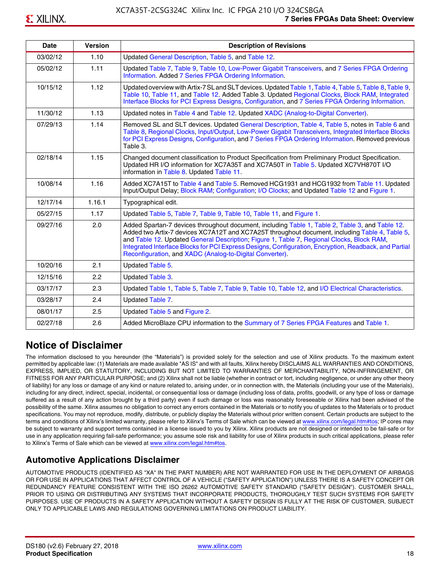| <b>Date</b> | <b>Version</b> | <b>Description of Revisions</b>                                                                                                                                                                                                                                                                                                                                                                                                                                     |
|-------------|----------------|---------------------------------------------------------------------------------------------------------------------------------------------------------------------------------------------------------------------------------------------------------------------------------------------------------------------------------------------------------------------------------------------------------------------------------------------------------------------|
| 03/02/12    | 1.10           | Updated General Description, Table 5, and Table 12.                                                                                                                                                                                                                                                                                                                                                                                                                 |
| 05/02/12    | 1.11           | Updated Table 7, Table 9, Table 10, Low-Power Gigabit Transceivers, and 7 Series FPGA Ordering<br>Information. Added 7 Series FPGA Ordering Information.                                                                                                                                                                                                                                                                                                            |
| 10/15/12    | 1.12           | Updated overview with Artix-7 SL and SLT devices. Updated Table 1, Table 4, Table 5, Table 8, Table 9,<br>Table 10, Table 11, and Table 12. Added Table 3. Updated Regional Clocks, Block RAM, Integrated<br>Interface Blocks for PCI Express Designs, Configuration, and 7 Series FPGA Ordering Information.                                                                                                                                                       |
| 11/30/12    | 1.13           | Updated notes in Table 4 and Table 12. Updated XADC (Analog-to-Digital Converter).                                                                                                                                                                                                                                                                                                                                                                                  |
| 07/29/13    | 1.14           | Removed SL and SLT devices. Updated General Description, Table 4, Table 5, notes in Table 6 and<br>Table 8, Regional Clocks, Input/Output, Low-Power Gigabit Transceivers, Integrated Interface Blocks<br>for PCI Express Designs, Configuration, and 7 Series FPGA Ordering Information. Removed previous<br>Table 3.                                                                                                                                              |
| 02/18/14    | 1.15           | Changed document classification to Product Specification from Preliminary Product Specification.<br>Updated HR I/O information for XC7A35T and XC7A50T in Table 5. Updated XC7VH870T I/O<br>information in Table 8. Updated Table 11.                                                                                                                                                                                                                               |
| 10/08/14    | 1.16           | Added XC7A15T to Table 4 and Table 5. Removed HCG1931 and HCG1932 from Table 11. Updated<br>Input/Output Delay; Block RAM; Configuration; I/O Clocks; and Updated Table 12 and Figure 1.                                                                                                                                                                                                                                                                            |
| 12/17/14    | 1.16.1         | Typographical edit.                                                                                                                                                                                                                                                                                                                                                                                                                                                 |
| 05/27/15    | 1.17           | Updated Table 5, Table 7, Table 9, Table 10, Table 11, and Figure 1.                                                                                                                                                                                                                                                                                                                                                                                                |
| 09/27/16    | 2.0            | Added Spartan-7 devices throughout document, including Table 1, Table 2, Table 3, and Table 12.<br>Added two Artix-7 devices XC7A12T and XC7A25T throughout document, including Table 4, Table 5,<br>and Table 12. Updated General Description; Figure 1, Table 7, Regional Clocks, Block RAM,<br>Integrated Interface Blocks for PCI Express Designs, Configuration, Encryption, Readback, and Partial<br>Reconfiguration, and XADC (Analog-to-Digital Converter). |
| 10/20/16    | 2.1            | Updated Table 5.                                                                                                                                                                                                                                                                                                                                                                                                                                                    |
| 12/15/16    | 2.2            | <b>Updated Table 3.</b>                                                                                                                                                                                                                                                                                                                                                                                                                                             |
| 03/17/17    | 2.3            | Updated Table 1, Table 5, Table 7, Table 9, Table 10, Table 12, and I/O Electrical Characteristics.                                                                                                                                                                                                                                                                                                                                                                 |
| 03/28/17    | 2.4            | Updated Table 7.                                                                                                                                                                                                                                                                                                                                                                                                                                                    |
| 08/01/17    | 2.5            | Updated Table 5 and Figure 2.                                                                                                                                                                                                                                                                                                                                                                                                                                       |
| 02/27/18    | 2.6            | Added MicroBlaze CPU information to the Summary of 7 Series FPGA Features and Table 1.                                                                                                                                                                                                                                                                                                                                                                              |

# **Notice of Disclaimer**

The information disclosed to you hereunder (the "Materials") is provided solely for the selection and use of Xilinx products. To the maximum extent permitted by applicable law: (1) Materials are made available "AS IS" and with all faults, Xilinx hereby DISCLAIMS ALL WARRANTIES AND CONDITIONS, EXPRESS, IMPLIED, OR STATUTORY, INCLUDING BUT NOT LIMITED TO WARRANTIES OF MERCHANTABILITY, NON-INFRINGEMENT, OR FITNESS FOR ANY PARTICULAR PURPOSE; and (2) Xilinx shall not be liable (whether in contract or tort, including negligence, or under any other theory of liability) for any loss or damage of any kind or nature related to, arising under, or in connection with, the Materials (including your use of the Materials), including for any direct, indirect, special, incidental, or consequential loss or damage (including loss of data, profits, goodwill, or any type of loss or damage suffered as a result of any action brought by a third party) even if such damage or loss was reasonably foreseeable or Xilinx had been advised of the possibility of the same. Xilinx assumes no obligation to correct any errors contained in the Materials or to notify you of updates to the Materials or to product specifications. You may not reproduce, modify, distribute, or publicly display the Materials without prior written consent. Certain products are subject to the terms and conditions of Xilinx's limited warranty, please refer to Xilinx's Terms of Sale which can be viewed at [www.xilinx.com/legal.htm#tos;](www.xilinx.com/legal.htm#tos) IP cores may be subject to warranty and support terms contained in a license issued to you by Xilinx. Xilinx products are not designed or intended to be fail-safe or for use in any application requiring fail-safe performance; you assume sole risk and liability for use of Xilinx products in such critical applications, please refer to Xilinx's Terms of Sale which can be viewed at <www.xilinx.com/legal.htm#tos>.

### **Automotive Applications Disclaimer**

AUTOMOTIVE PRODUCTS (IDENTIFIED AS "XA" IN THE PART NUMBER) ARE NOT WARRANTED FOR USE IN THE DEPLOYMENT OF AIRBAGS OR FOR USE IN APPLICATIONS THAT AFFECT CONTROL OF A VEHICLE ("SAFETY APPLICATION") UNLESS THERE IS A SAFETY CONCEPT OR REDUNDANCY FEATURE CONSISTENT WITH THE ISO 26262 AUTOMOTIVE SAFETY STANDARD ("SAFETY DESIGN"). CUSTOMER SHALL, PRIOR TO USING OR DISTRIBUTING ANY SYSTEMS THAT INCORPORATE PRODUCTS, THOROUGHLY TEST SUCH SYSTEMS FOR SAFETY PURPOSES. USE OF PRODUCTS IN A SAFETY APPLICATION WITHOUT A SAFETY DESIGN IS FULLY AT THE RISK OF CUSTOMER, SUBJECT ONLY TO APPLICABLE LAWS AND REGULATIONS GOVERNING LIMITATIONS ON PRODUCT LIABILITY.